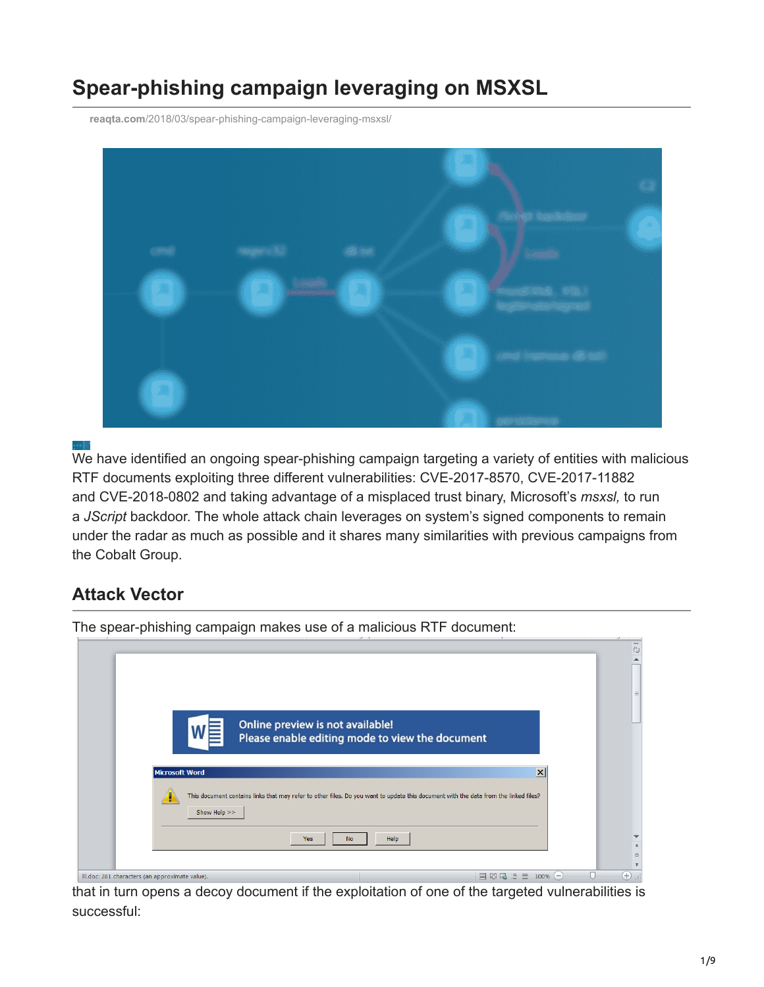# **Spear-phishing campaign leveraging on MSXSL**

**reaqta.com**[/2018/03/spear-phishing-campaign-leveraging-msxsl/](https://reaqta.com/2018/03/spear-phishing-campaign-leveraging-msxsl/)



We have identified an ongoing spear-phishing campaign targeting a variety of entities with malicious RTF documents exploiting three different vulnerabilities: CVE-2017-8570, CVE-2017-11882 and CVE-2018-0802 and taking advantage of a misplaced trust binary, Microsoft's *msxsl,* to run a *JScript* backdoor. The whole attack chain leverages on system's signed components to remain under the radar as much as possible and it shares many similarities with previous campaigns from the Cobalt Group.

# **Attack Vector**

| Online preview is not available!<br>Please enable editing mode to view the document                                                                                                                                           | 颐<br>$\equiv$               |
|-------------------------------------------------------------------------------------------------------------------------------------------------------------------------------------------------------------------------------|-----------------------------|
| $\overline{\mathsf{x}}$<br>Microsoft Word<br>This document contains links that may refer to other files. Do you want to update this document with the data from the linked files?<br>Show Help >><br>Help<br>Yes<br><b>No</b> |                             |
| 目脚尾语目<br>100%<br>III.doc: 281 characters (an approximate value).<br>$-$                                                                                                                                                       | $^{\tiny{\textregistered}}$ |

The spear-phishing campaign makes use of a malicious RTF document:

that in turn opens a decoy document if the exploitation of one of the targeted vulnerabilities is successful: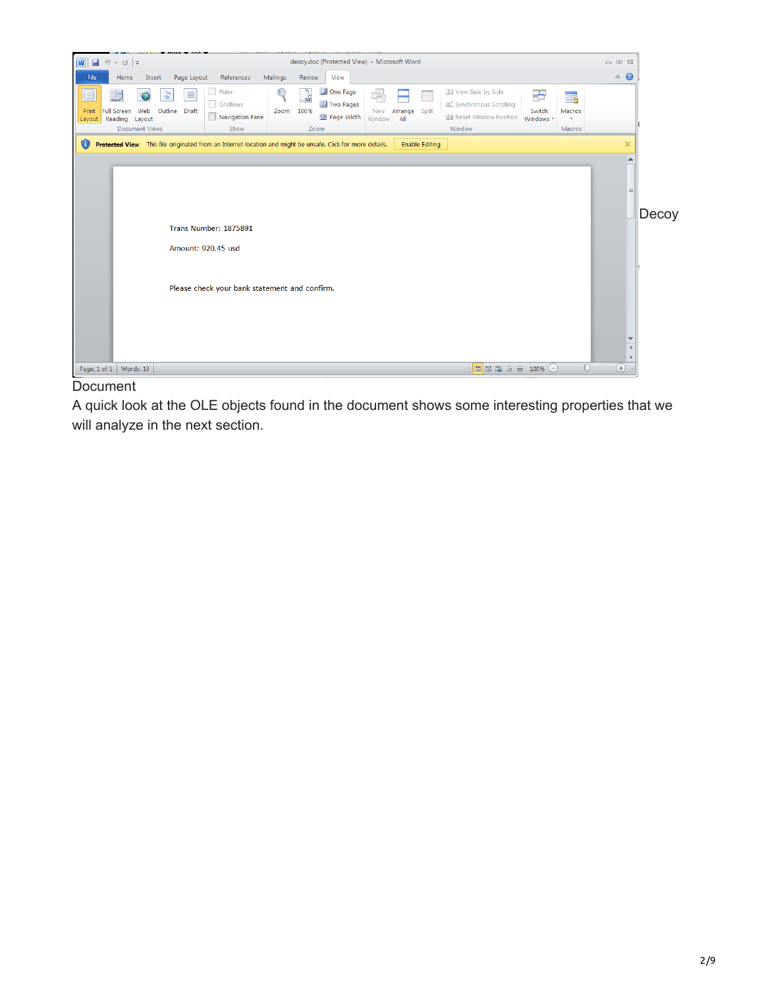

Document

A quick look at the OLE objects found in the document shows some interesting properties that we will analyze in the next section.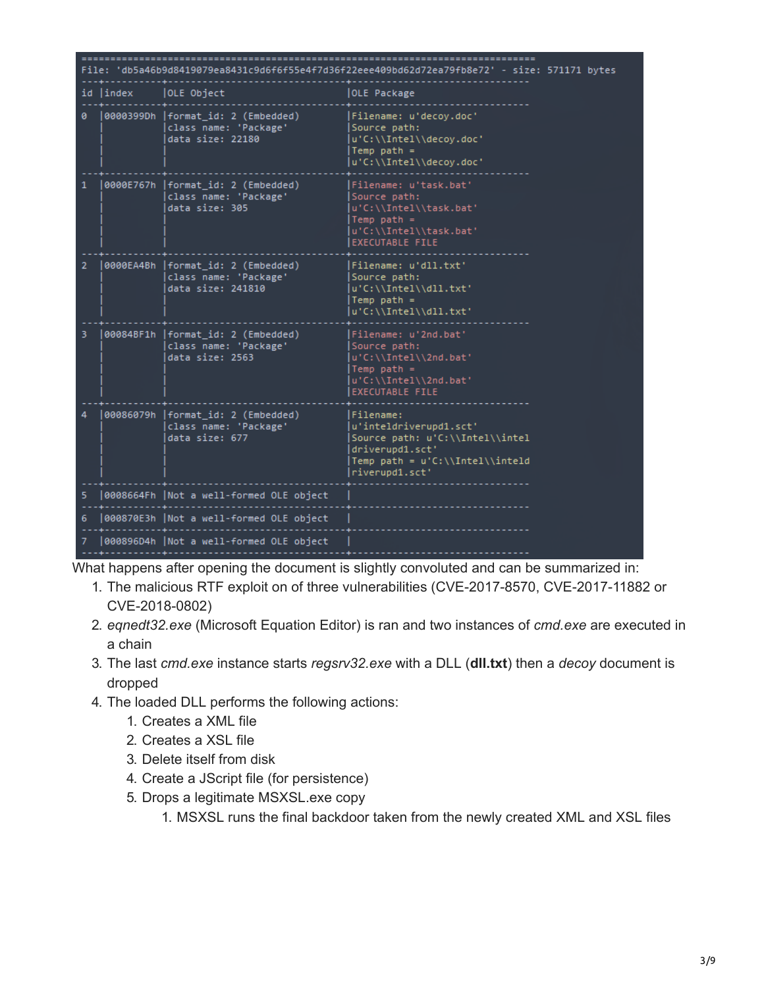| File: 'db5a46b9d8419079ea8431c9d6f6f55e4f7d36f22eee409bd62d72ea79fb8e72' - size: 571171 bytes |           |                                                                                  |                                                                                                                                                |  |  |  |  |  |
|-----------------------------------------------------------------------------------------------|-----------|----------------------------------------------------------------------------------|------------------------------------------------------------------------------------------------------------------------------------------------|--|--|--|--|--|
|                                                                                               | id  index | OLE Object                                                                       | <b>OLE Package</b>                                                                                                                             |  |  |  |  |  |
|                                                                                               |           | 0000399Dh   format id: 2 (Embedded)<br>class name: 'Package'<br>data size: 22180 | Filename: u'decoy.doc'<br>Source path:<br>u'C:\\Intel\\decoy.doc'<br>Temp path $=$<br>u'C:\\Intel\\decoy.doc'                                  |  |  |  |  |  |
|                                                                                               |           | 0000E767h   format_id: 2 (Embedded)<br>class name: 'Package'<br>data size: 305   | Filename: u'task.bat'<br>Source path:<br>u'C:\\Intel\\task.bat'<br>Temp $path =$<br>u'C:\\Intel\\task.bat'<br><b>EXECUTABLE FILE</b>           |  |  |  |  |  |
| 2                                                                                             |           | 0000EA4Bh  format_id: 2 (Embedded)<br>class name: 'Package'<br>data size: 241810 | Filename: u'dll.txt'<br>Source path:<br>u'C:\\Intel\\dll.txt'<br>Temp path $=$<br>u'C:\\Intel\\dll.txt'                                        |  |  |  |  |  |
| 3.                                                                                            |           | 00084BF1h  format_id: 2 (Embedded)<br>class name: 'Package'<br>data size: 2563   | Filename: u'2nd.bat'<br>Source path:<br>u'C:\\Intel\\2nd.bat'<br>Temp path $=$<br>u'C:\\Intel\\2nd.bat'<br><b>EXECUTABLE FILE</b>              |  |  |  |  |  |
|                                                                                               |           | 00086079h  format_id: 2 (Embedded)<br>class name: 'Package'<br>data size: 677    | Filename:<br>u'inteldriverupd1.sct'<br>Source path: u'C:\\Intel\\intel<br>driverupd1.sct'<br>Temp path = u'C:\\Intel\\inteld<br>riverupd1.sct' |  |  |  |  |  |
| 5                                                                                             |           | 0008664Fh  Not a well-formed OLE object                                          |                                                                                                                                                |  |  |  |  |  |
| 6                                                                                             |           | 000870E3h   Not a well-formed OLE object                                         |                                                                                                                                                |  |  |  |  |  |
| 7                                                                                             |           | 000896D4h  Not a well-formed OLE object                                          |                                                                                                                                                |  |  |  |  |  |

What happens after opening the document is slightly convoluted and can be summarized in:

- 1. The malicious RTF exploit on of three vulnerabilities (CVE-2017-8570, CVE-2017-11882 or CVE-2018-0802)
- 2. *eqnedt32.exe* (Microsoft Equation Editor) is ran and two instances of *cmd.exe* are executed in a chain
- 3. The last *cmd.exe* instance starts *regsrv32.exe* with a DLL (**dll.txt**) then a *decoy* document is dropped
- 4. The loaded DLL performs the following actions:
	- 1. Creates a XML file
	- 2. Creates a XSL file
	- 3. Delete itself from disk
	- 4. Create a JScript file (for persistence)
	- 5. Drops a legitimate MSXSL.exe copy
		- 1. MSXSL runs the final backdoor taken from the newly created XML and XSL files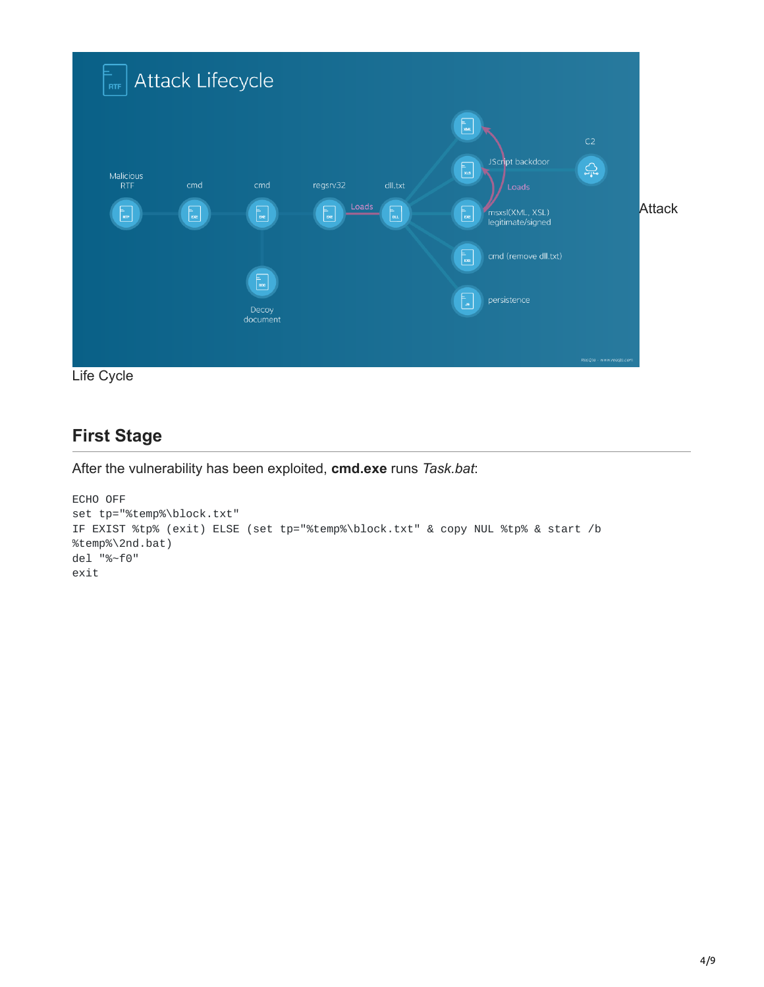

# **First Stage**

After the vulnerability has been exploited, **cmd.exe** runs *Task.bat*:

```
ECHO OFF
set tp="%temp%\block.txt"
IF EXIST %tp% (exit) ELSE (set tp="%temp%\block.txt" & copy NUL %tp% & start /b
%temp%\2nd.bat)
del "%~f0"
exit
```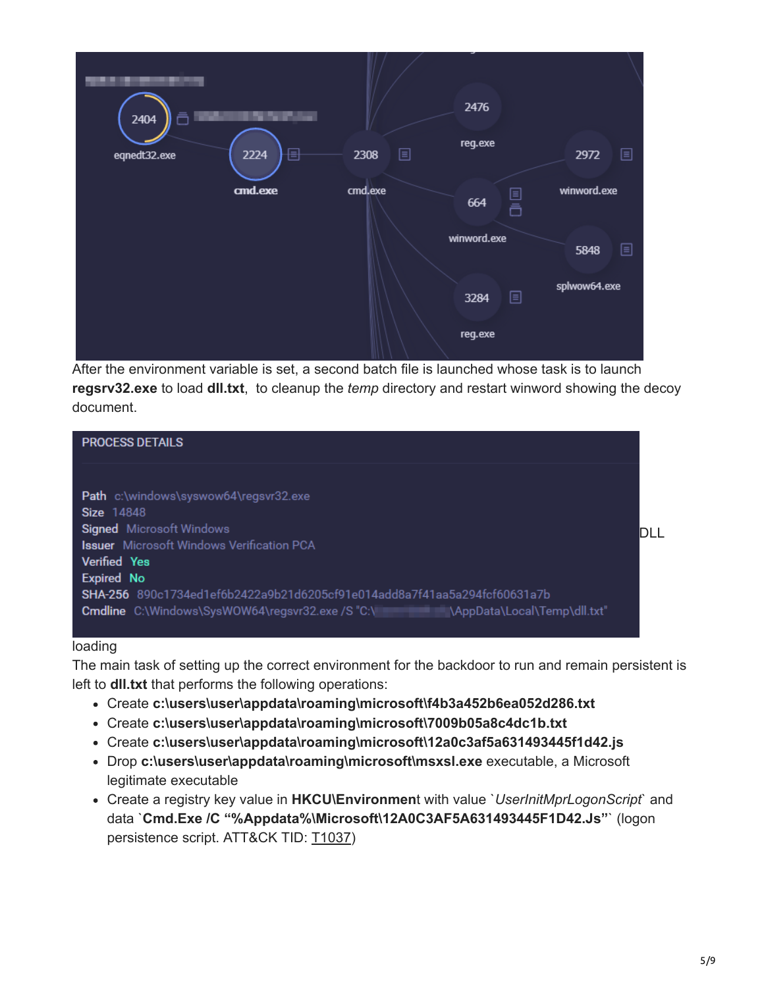

After the environment variable is set, a second batch file is launched whose task is to launch **regsrv32.exe** to load **dll.txt**, to cleanup the *temp* directory and restart winword showing the decoy document.



### loading

The main task of setting up the correct environment for the backdoor to run and remain persistent is left to **dll.txt** that performs the following operations:

- Create **c:\users\user\appdata\roaming\microsoft\f4b3a452b6ea052d286.txt**
- Create **c:\users\user\appdata\roaming\microsoft\7009b05a8c4dc1b.txt**
- Create **c:\users\user\appdata\roaming\microsoft\12a0c3af5a631493445f1d42.js**
- Drop **c:\users\user\appdata\roaming\microsoft\msxsl.exe** executable, a Microsoft legitimate executable
- Create a registry key value in **HKCU\Environmen**t with value `*UserInitMprLogonScript*` and data `**Cmd.Exe /C "%Appdata%\Microsoft\12A0C3AF5A631493445F1D42.Js"**` (logon persistence script. ATT&CK TID: [T1037](https://attack.mitre.org/wiki/Technique/T1037))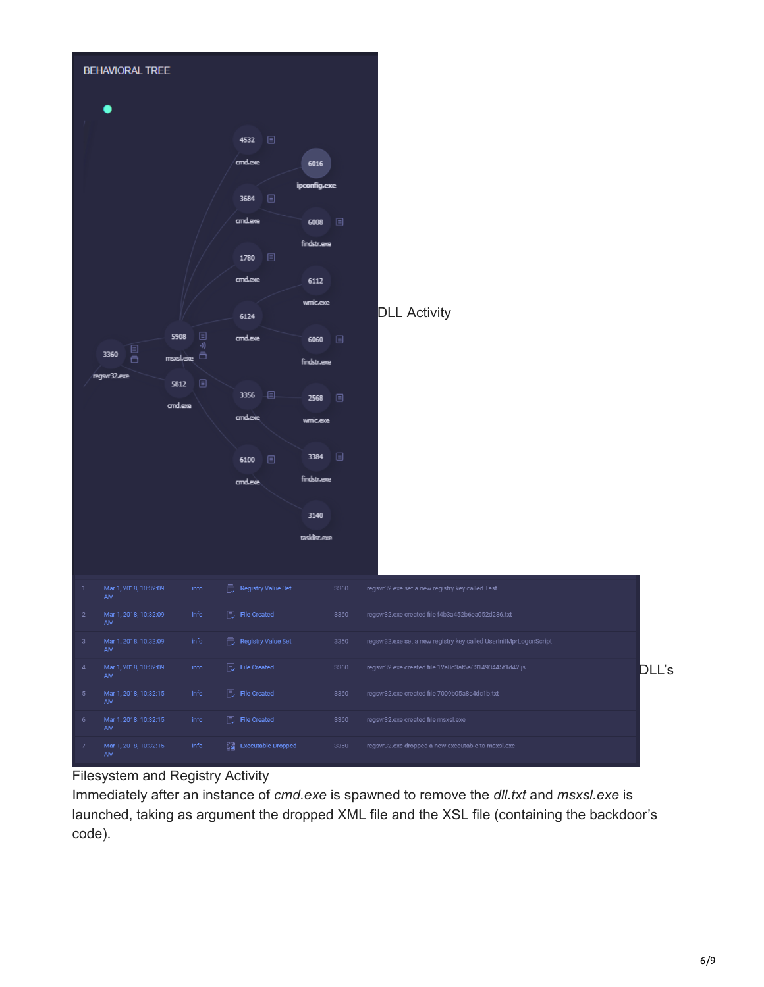

### Filesystem and Registry Activity

Immediately after an instance of *cmd.exe* is spawned to remove the *dll.txt* and *msxsl.exe* is launched, taking as argument the dropped XML file and the XSL file (containing the backdoor's code).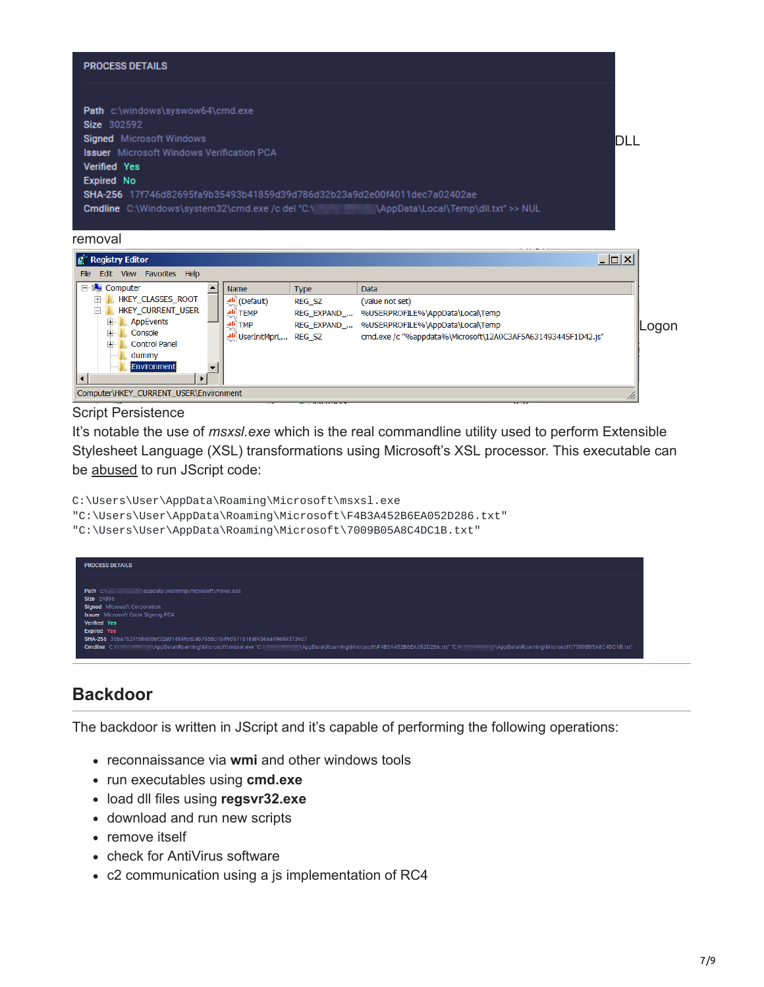

| <b>By Reybuy Cultur</b>                                                                                                                                                               |                |                                                       |                                                          | $-1$ $-1$                                                                                                                                                              |        |
|---------------------------------------------------------------------------------------------------------------------------------------------------------------------------------------|----------------|-------------------------------------------------------|----------------------------------------------------------|------------------------------------------------------------------------------------------------------------------------------------------------------------------------|--------|
| Edit View Favorites Help<br>File                                                                                                                                                      |                |                                                       |                                                          |                                                                                                                                                                        |        |
| <b>E</b> Computer<br>HKEY CLASSES ROOT<br>田<br>HKEY CURRENT USER<br>Ėŀ<br>AppEvents<br>田<br>田<br>Console<br>田<br><b>Control Panel</b><br>dummy<br>Environment<br>$\blacktriangleleft$ | Name<br>ab TMP | $ ab $ (Default)<br>ab TEMP<br>ab UserInitMprL REG SZ | <b>Type</b><br><b>REG SZ</b><br>REG EXPAND<br>REG EXPAND | <b>Data</b><br>(value not set)<br>%USERPROFILE%\AppData\Local\Temp<br>%USERPROFILE%\AppData\Local\Temp<br>cmd.exe /c "%appdata%\Microsoft\12A0C3AF5A631493445F1D42.js" | ∥Logon |
| Computer\HKEY CURRENT USER\Environment                                                                                                                                                |                |                                                       |                                                          |                                                                                                                                                                        |        |

### Script Persistence

It's notable the use of *msxsl.exe* which is the real commandline utility used to perform Extensible Stylesheet Language (XSL) transformations using Microsoft's XSL processor. This executable can be [abused](https://twitter.com/subTee/status/877616321747271680) to run JScript code:

C:\Users\User\AppData\Roaming\Microsoft\msxsl.exe

"C:\Users\User\AppData\Roaming\Microsoft\F4B3A452B6EA052D286.txt"

"C:\Users\User\AppData\Roaming\Microsoft\7009B05A8C4DC1B.txt"



### **Backdoor**

The backdoor is written in JScript and it's capable of performing the following operations:

- reconnaissance via **wmi** and other windows tools
- run executables using **cmd.exe**
- load dll files using **regsvr32.exe**
- download and run new scripts
- remove itself
- check for AntiVirus software
- c2 communication using a js implementation of RC4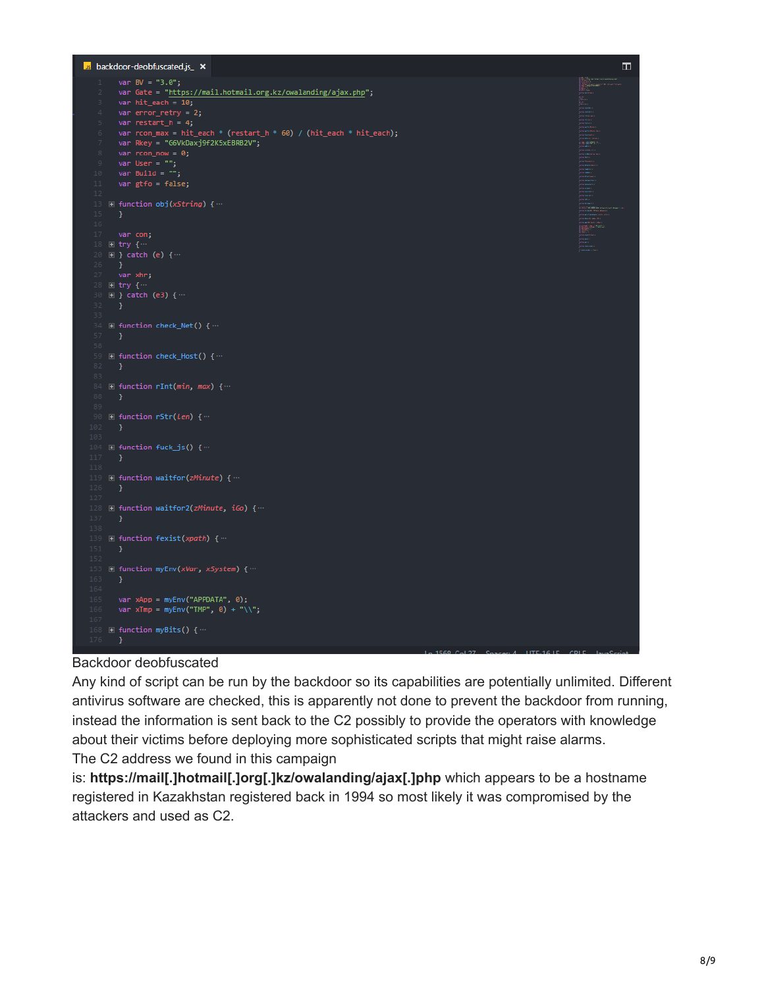

### Backdoor deobfuscated

Any kind of script can be run by the backdoor so its capabilities are potentially unlimited. Different antivirus software are checked, this is apparently not done to prevent the backdoor from running, instead the information is sent back to the C2 possibly to provide the operators with knowledge about their victims before deploying more sophisticated scripts that might raise alarms. The C2 address we found in this campaign

is: **https://mail[.]hotmail[.]org[.]kz/owalanding/ajax[.]php** which appears to be a hostname registered in Kazakhstan registered back in 1994 so most likely it was compromised by the attackers and used as C2.